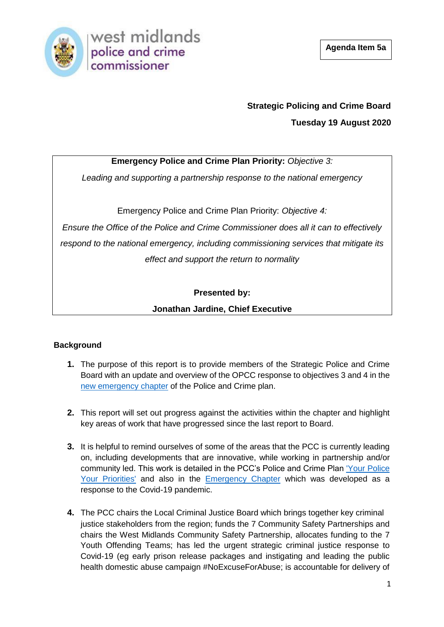

# **Strategic Policing and Crime Board Tuesday 19 August 2020**

# **Emergency Police and Crime Plan Priority:** *Objective 3:*

*Leading and supporting a partnership response to the national emergency* 

Emergency Police and Crime Plan Priority: *Objective 4:* 

*Ensure the Office of the Police and Crime Commissioner does all it can to effectively respond to the national emergency, including commissioning services that mitigate its effect and support the return to normality*

# **Presented by:**

## **Jonathan Jardine, Chief Executive**

## **Background**

- **1.** The purpose of this report is to provide members of the Strategic Police and Crime Board with an update and overview of the OPCC response to objectives 3 and 4 in the [new emergency chapter](https://www.westmidlands-pcc.gov.uk/wp-content/uploads/2020/04/West-Midlands-Emergency-Police-and-Crime-Plan.pdf?x56534) of the Police and Crime plan.
- **2.** This report will set out progress against the activities within the chapter and highlight key areas of work that have progressed since the last report to Board.
- **3.** It is helpful to remind ourselves of some of the areas that the PCC is currently leading on, including developments that are innovative, while working in partnership and/or community led. This work is detailed in the PCC's Police and Crime Plan ['Your Police](file:///C:/Users/FULLER_55332/Downloads/2016-2020-Police-and-Crime-Plan-digital.pdf)  [Your Priorities'](file:///C:/Users/FULLER_55332/Downloads/2016-2020-Police-and-Crime-Plan-digital.pdf) and also in the [Emergency Chapter](file:///C:/Users/FULLER_55332/Downloads/West-Midlands-Emergency-Police-and-Crime-Plan.pdf) which was developed as a response to the Covid-19 pandemic.
- **4.** The PCC chairs the Local Criminal Justice Board which brings together key criminal justice stakeholders from the region; funds the 7 Community Safety Partnerships and chairs the West Midlands Community Safety Partnership, allocates funding to the 7 Youth Offending Teams; has led the urgent strategic criminal justice response to Covid-19 (eg early prison release packages and instigating and leading the public health domestic abuse campaign #NoExcuseForAbuse; is accountable for delivery of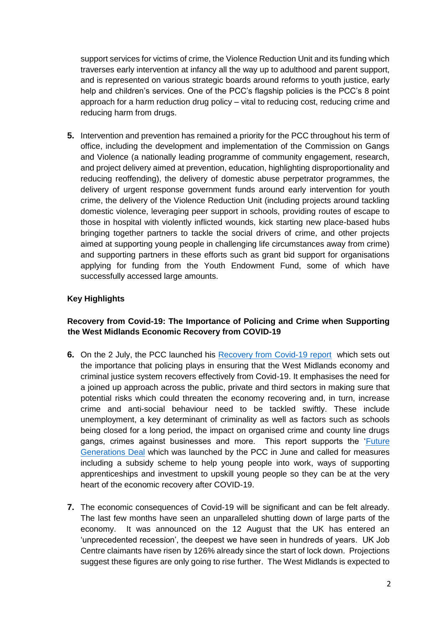support services for victims of crime, the Violence Reduction Unit and its funding which traverses early intervention at infancy all the way up to adulthood and parent support, and is represented on various strategic boards around reforms to youth justice, early help and children's services. One of the PCC's flagship policies is the PCC's 8 point approach for a harm reduction drug policy – vital to reducing cost, reducing crime and reducing harm from drugs.

**5.** Intervention and prevention has remained a priority for the PCC throughout his term of office, including the development and implementation of the Commission on Gangs and Violence (a nationally leading programme of community engagement, research, and project delivery aimed at prevention, education, highlighting disproportionality and reducing reoffending), the delivery of domestic abuse perpetrator programmes, the delivery of urgent response government funds around early intervention for youth crime, the delivery of the Violence Reduction Unit (including projects around tackling domestic violence, leveraging peer support in schools, providing routes of escape to those in hospital with violently inflicted wounds, kick starting new place-based hubs bringing together partners to tackle the social drivers of crime, and other projects aimed at supporting young people in challenging life circumstances away from crime) and supporting partners in these efforts such as grant bid support for organisations applying for funding from the Youth Endowment Fund, some of which have successfully accessed large amounts.

## **Key Highlights**

## **Recovery from Covid-19: The Importance of Policing and Crime when Supporting the West Midlands Economic Recovery from COVID-19**

- **6.** On the 2 July, the PCC launched his [Recovery from Covid-19 report](https://www.westmidlands-pcc.gov.uk/wp-content/uploads/2020/07/Recovery-from-COVID19-the-importance-of-policing.pdf) which sets out the importance that policing plays in ensuring that the West Midlands economy and criminal justice system recovers effectively from Covid-19. It emphasises the need for a joined up approach across the public, private and third sectors in making sure that potential risks which could threaten the economy recovering and, in turn, increase crime and anti-social behaviour need to be tackled swiftly. These include unemployment, a key determinant of criminality as well as factors such as schools being closed for a long period, the impact on organised crime and county line drugs gangs, crimes against businesses and more. This report supports the ['Future](https://www.westmidlands-pcc.gov.uk/wp-content/uploads/2020/05/A-Future-Generations-Deal-Avoiding-the-Ticking-Time-Bomb-of-Youth-Unemployment-in-the-West-Midlands.pdf?x83908)  [Generations Deal](https://www.westmidlands-pcc.gov.uk/wp-content/uploads/2020/05/A-Future-Generations-Deal-Avoiding-the-Ticking-Time-Bomb-of-Youth-Unemployment-in-the-West-Midlands.pdf?x83908) which was launched by the PCC in June and called for measures including a subsidy scheme to help young people into work, ways of supporting apprenticeships and investment to upskill young people so they can be at the very heart of the economic recovery after COVID-19.
- **7.** The economic consequences of Covid-19 will be significant and can be felt already. The last few months have seen an unparalleled shutting down of large parts of the economy. It was announced on the 12 August that the UK has entered an 'unprecedented recession', the deepest we have seen in hundreds of years. UK Job Centre claimants have risen by 126% already since the start of lock down. Projections suggest these figures are only going to rise further. The West Midlands is expected to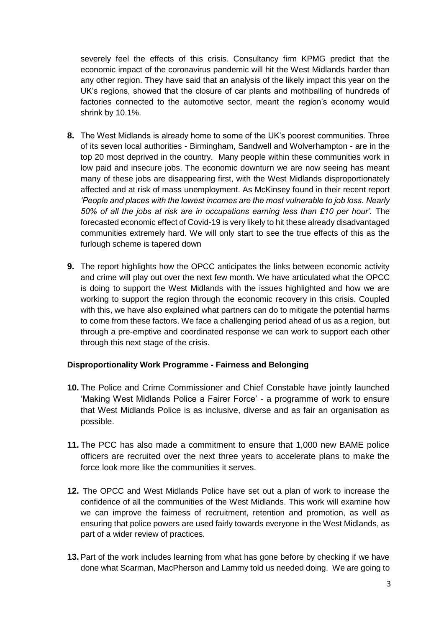severely feel the effects of this crisis. Consultancy firm KPMG predict that the economic impact of the coronavirus pandemic will hit the West Midlands harder than any other region. They have said that an analysis of the likely impact this year on the UK's regions, showed that the closure of car plants and mothballing of hundreds of factories connected to the automotive sector, meant the region's economy would shrink by 10.1%.

- **8.** The West Midlands is already home to some of the UK's poorest communities. Three of its seven local authorities - Birmingham, Sandwell and Wolverhampton - are in the top 20 most deprived in the country. Many people within these communities work in low paid and insecure jobs. The economic downturn we are now seeing has meant many of these jobs are disappearing first, with the West Midlands disproportionately affected and at risk of mass unemployment. As McKinsey found in their recent report *'People and places with the lowest incomes are the most vulnerable to job loss. Nearly 50% of all the jobs at risk are in occupations earning less than £10 per hour'.* The forecasted economic effect of Covid-19 is very likely to hit these already disadvantaged communities extremely hard. We will only start to see the true effects of this as the furlough scheme is tapered down
- **9.** The report highlights how the OPCC anticipates the links between economic activity and crime will play out over the next few month. We have articulated what the OPCC is doing to support the West Midlands with the issues highlighted and how we are working to support the region through the economic recovery in this crisis. Coupled with this, we have also explained what partners can do to mitigate the potential harms to come from these factors. We face a challenging period ahead of us as a region, but through a pre-emptive and coordinated response we can work to support each other through this next stage of the crisis.

#### **Disproportionality Work Programme - Fairness and Belonging**

- **10.** The Police and Crime Commissioner and Chief Constable have jointly launched 'Making West Midlands Police a Fairer Force' - a programme of work to ensure that West Midlands Police is as inclusive, diverse and as fair an organisation as possible.
- **11.** The PCC has also made a commitment to ensure that 1,000 new BAME police officers are recruited over the next three years to accelerate plans to make the force look more like the communities it serves.
- **12.** The OPCC and West Midlands Police have set out a plan of work to increase the confidence of all the communities of the West Midlands. This work will examine how we can improve the fairness of recruitment, retention and promotion, as well as ensuring that police powers are used fairly towards everyone in the West Midlands, as part of a wider review of practices.
- **13.** Part of the work includes learning from what has gone before by checking if we have done what Scarman, MacPherson and Lammy told us needed doing. We are going to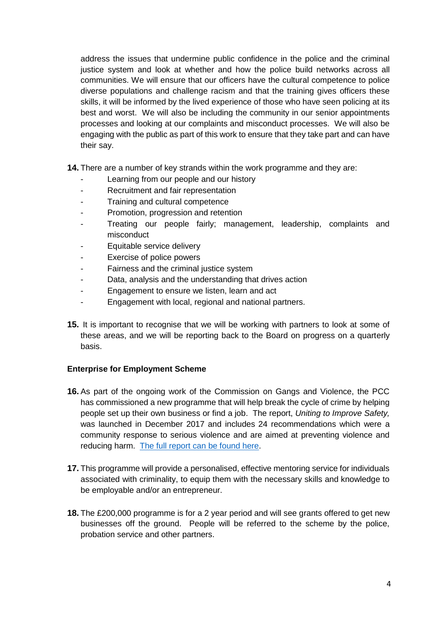address the issues that undermine public confidence in the police and the criminal justice system and look at whether and how the police build networks across all communities. We will ensure that our officers have the cultural competence to police diverse populations and challenge racism and that the training gives officers these skills, it will be informed by the lived experience of those who have seen policing at its best and worst. We will also be including the community in our senior appointments processes and looking at our complaints and misconduct processes. We will also be engaging with the public as part of this work to ensure that they take part and can have their say.

**14.** There are a number of key strands within the work programme and they are:

- Learning from our people and our history
- Recruitment and fair representation
- Training and cultural competence
- Promotion, progression and retention
- Treating our people fairly; management, leadership, complaints and misconduct
- Equitable service delivery
- Exercise of police powers
- Fairness and the criminal justice system
- Data, analysis and the understanding that drives action
- Engagement to ensure we listen, learn and act
- Engagement with local, regional and national partners.
- **15.** It is important to recognise that we will be working with partners to look at some of these areas, and we will be reporting back to the Board on progress on a quarterly basis.

#### **Enterprise for Employment Scheme**

- **16.** As part of the ongoing work of the Commission on Gangs and Violence, the PCC has commissioned a new programme that will help break the cycle of crime by helping people set up their own business or find a job. The report, *Uniting to Improve Safety,* was launched in December 2017 and includes 24 recommendations which were a community response to serious violence and are aimed at preventing violence and reducing harm. [The full report can be found here.](https://www.westmidlands-pcc.gov.uk/wp-content/uploads/2019/04/Gangs-and-Violence-Commission-Full-Report.pdf?x56534)
- **17.** This programme will provide a personalised, effective mentoring service for individuals associated with criminality, to equip them with the necessary skills and knowledge to be employable and/or an entrepreneur.
- **18.** The £200,000 programme is for a 2 year period and will see grants offered to get new businesses off the ground. People will be referred to the scheme by the police, probation service and other partners.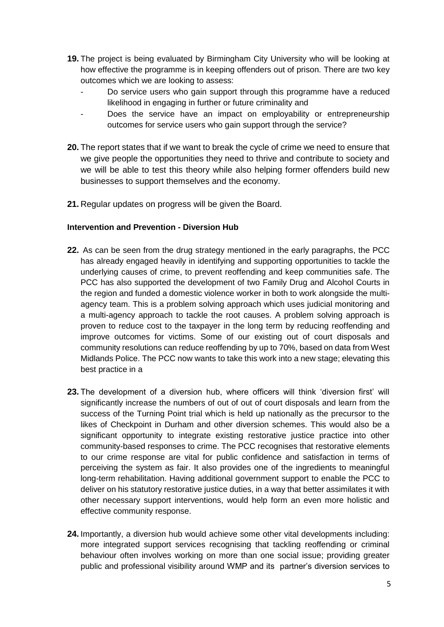- **19.** The project is being evaluated by Birmingham City University who will be looking at how effective the programme is in keeping offenders out of prison. There are two key outcomes which we are looking to assess:
	- Do service users who gain support through this programme have a reduced likelihood in engaging in further or future criminality and
	- Does the service have an impact on employability or entrepreneurship outcomes for service users who gain support through the service?
- **20.** The report states that if we want to break the cycle of crime we need to ensure that we give people the opportunities they need to thrive and contribute to society and we will be able to test this theory while also helping former offenders build new businesses to support themselves and the economy.
- **21.** Regular updates on progress will be given the Board.

#### **Intervention and Prevention - Diversion Hub**

- **22.** As can be seen from the drug strategy mentioned in the early paragraphs, the PCC has already engaged heavily in identifying and supporting opportunities to tackle the underlying causes of crime, to prevent reoffending and keep communities safe. The PCC has also supported the development of two Family Drug and Alcohol Courts in the region and funded a domestic violence worker in both to work alongside the multiagency team. This is a problem solving approach which uses judicial monitoring and a multi-agency approach to tackle the root causes. A problem solving approach is proven to reduce cost to the taxpayer in the long term by reducing reoffending and improve outcomes for victims. Some of our existing out of court disposals and community resolutions can reduce reoffending by up to 70%, based on data from West Midlands Police. The PCC now wants to take this work into a new stage; elevating this best practice in a
- **23.** The development of a diversion hub, where officers will think 'diversion first' will significantly increase the numbers of out of out of court disposals and learn from the success of the Turning Point trial which is held up nationally as the precursor to the likes of Checkpoint in Durham and other diversion schemes. This would also be a significant opportunity to integrate existing restorative justice practice into other community-based responses to crime. The PCC recognises that restorative elements to our crime response are vital for public confidence and satisfaction in terms of perceiving the system as fair. It also provides one of the ingredients to meaningful long-term rehabilitation. Having additional government support to enable the PCC to deliver on his statutory restorative justice duties, in a way that better assimilates it with other necessary support interventions, would help form an even more holistic and effective community response.
- **24.** Importantly, a diversion hub would achieve some other vital developments including: more integrated support services recognising that tackling reoffending or criminal behaviour often involves working on more than one social issue; providing greater public and professional visibility around WMP and its partner's diversion services to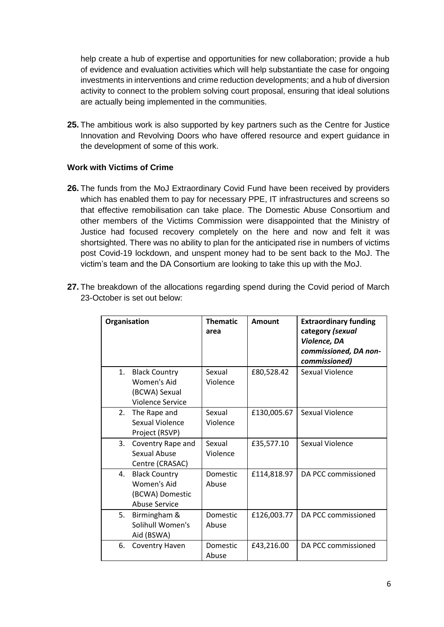help create a hub of expertise and opportunities for new collaboration; provide a hub of evidence and evaluation activities which will help substantiate the case for ongoing investments in interventions and crime reduction developments; and a hub of diversion activity to connect to the problem solving court proposal, ensuring that ideal solutions are actually being implemented in the communities.

**25.** The ambitious work is also supported by key partners such as the Centre for Justice Innovation and Revolving Doors who have offered resource and expert guidance in the development of some of this work.

### **Work with Victims of Crime**

**26.** The funds from the MoJ Extraordinary Covid Fund have been received by providers which has enabled them to pay for necessary PPE, IT infrastructures and screens so that effective remobilisation can take place. The Domestic Abuse Consortium and other members of the Victims Commission were disappointed that the Ministry of Justice had focused recovery completely on the here and now and felt it was shortsighted. There was no ability to plan for the anticipated rise in numbers of victims post Covid-19 lockdown, and unspent money had to be sent back to the MoJ. The victim's team and the DA Consortium are looking to take this up with the MoJ.

| Organisation                                                                          | <b>Thematic</b><br>area | <b>Amount</b> | <b>Extraordinary funding</b><br>category (sexual<br>Violence, DA<br>commissioned, DA non-<br>commissioned) |
|---------------------------------------------------------------------------------------|-------------------------|---------------|------------------------------------------------------------------------------------------------------------|
| <b>Black Country</b><br>1.<br>Women's Aid<br>(BCWA) Sexual<br><b>Violence Service</b> | Sexual<br>Violence      | £80,528.42    | Sexual Violence                                                                                            |
| 2.<br>The Rape and<br>Sexual Violence<br>Project (RSVP)                               | Sexual<br>Violence      | £130,005.67   | Sexual Violence                                                                                            |
| 3.<br>Coventry Rape and<br>Sexual Abuse<br>Centre (CRASAC)                            | Sexual<br>Violence      | £35,577.10    | Sexual Violence                                                                                            |
| 4.<br><b>Black Country</b><br>Women's Aid<br>(BCWA) Domestic<br><b>Abuse Service</b>  | Domestic<br>Abuse       | £114,818.97   | DA PCC commissioned                                                                                        |
| 5.<br>Birmingham &<br>Solihull Women's<br>Aid (BSWA)                                  | Domestic<br>Abuse       | £126,003.77   | DA PCC commissioned                                                                                        |
| 6.<br>Coventry Haven                                                                  | Domestic<br>Abuse       | £43,216.00    | DA PCC commissioned                                                                                        |

**27.** The breakdown of the allocations regarding spend during the Covid period of March 23-October is set out below: